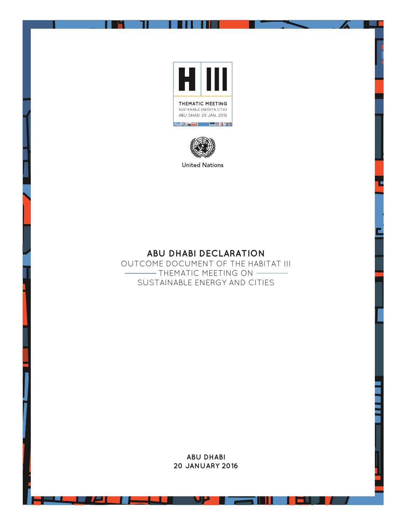



**ABU DHABI DECLARATION** 

OUTCOME DOCUMENT OF THE HABITAT III  $-$  Thematic meeting on  $-$ SUSTAINABLE ENERGY AND CITIES

> **ABU DHABI 20 JANUARY 2016**

**SUP** 

--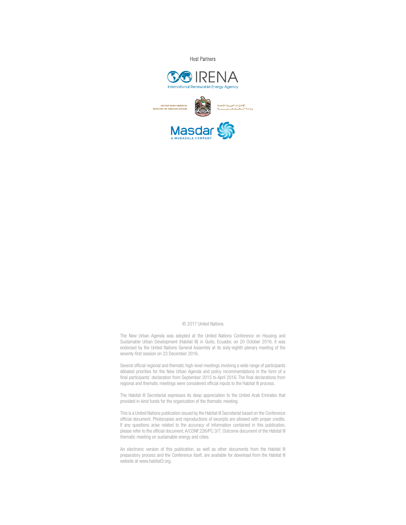**Host Partners** 



#### © 2017 United Nations

The New Urban Agenda was adopted at the United Nations Conference on Housing and Sustainable Urban Development (Habitat III) in Quito, Ecuador, on 20 October 2016. It was endorsed by the United Nations General Assembly at its sixty-eighth plenary meeting of the seventy-first session on 23 December 2016.

Several official regional and thematic high-level meetings involving a wide range of participants debated priorities for the New Urban Agenda and policy recommendations in the form of a final participants' declaration from September 2015 to April 2016. The final declarations from regional and thematic meetings were considered official inputs to the Habitat III process.

The Habitat III Secretariat expresses its deep appreciation to the United Arab Emirates that provided in-kind funds for the organization of the thematic meeting.

This is a United Nations publication issued by the Habitat III Secretariat based on the Conference official document. Photocopies and reproductions of excerpts are allowed with proper credits. If any questions arise related to the accuracy of information contained in this publication, please refer to the official document, A/CONF.226/PC.3/7, Outcome document of the Habitat III thematic meeting on sustainable energy and cities.

An electronic version of this publication, as well as other documents from the Habitat III preparatory process and the Conference itself, are available for download from the Habitat III website at www.habitat3.org.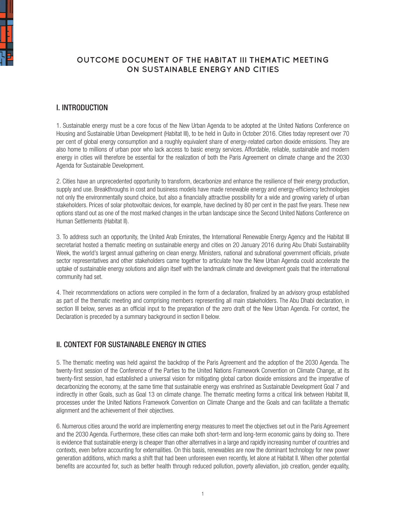

# **OUTCOME DOCUMENT OF THE HABITAT III THEMATIC MEETING ON SUSTAINABLE ENERGY AND CITIES**

### I. INTRODUCTION

1. Sustainable energy must be a core focus of the New Urban Agenda to be adopted at the United Nations Conference on Housing and Sustainable Urban Development (Habitat III), to be held in Quito in October 2016. Cities today represent over 70 per cent of global energy consumption and a roughly equivalent share of energy-related carbon dioxide emissions. They are also home to millions of urban poor who lack access to basic energy services. Affordable, reliable, sustainable and modern energy in cities will therefore be essential for the realization of both the Paris Agreement on climate change and the 2030 Agenda for Sustainable Development.

2. Cities have an unprecedented opportunity to transform, decarbonize and enhance the resilience of their energy production, supply and use. Breakthroughs in cost and business models have made renewable energy and energy-efficiency technologies not only the environmentally sound choice, but also a financially attractive possibility for a wide and growing variety of urban stakeholders. Prices of solar photovoltaic devices, for example, have declined by 80 per cent in the past five years. These new options stand out as one of the most marked changes in the urban landscape since the Second United Nations Conference on Human Settlements (Habitat II).

3. To address such an opportunity, the United Arab Emirates, the International Renewable Energy Agency and the Habitat III secretariat hosted a thematic meeting on sustainable energy and cities on 20 January 2016 during Abu Dhabi Sustainability Week, the world's largest annual gathering on clean energy. Ministers, national and subnational government officials, private sector representatives and other stakeholders came together to articulate how the New Urban Agenda could accelerate the uptake of sustainable energy solutions and align itself with the landmark climate and development goals that the international community had set.

4. Their recommendations on actions were compiled in the form of a declaration, finalized by an advisory group established as part of the thematic meeting and comprising members representing all main stakeholders. The Abu Dhabi declaration, in section III below, serves as an official input to the preparation of the zero draft of the New Urban Agenda. For context, the Declaration is preceded by a summary background in section II below.

## II. CONTEXT FOR SUSTAINABLE ENERGY IN CITIES

5. The thematic meeting was held against the backdrop of the Paris Agreement and the adoption of the 2030 Agenda. The twenty-first session of the Conference of the Parties to the United Nations Framework Convention on Climate Change, at its twenty-first session, had established a universal vision for mitigating global carbon dioxide emissions and the imperative of decarbonizing the economy, at the same time that sustainable energy was enshrined as Sustainable Development Goal 7 and indirectly in other Goals, such as Goal 13 on climate change. The thematic meeting forms a critical link between Habitat III, processes under the United Nations Framework Convention on Climate Change and the Goals and can facilitate a thematic alignment and the achievement of their objectives.

6. Numerous cities around the world are implementing energy measures to meet the objectives set out in the Paris Agreement and the 2030 Agenda. Furthermore, these cities can make both short-term and long-term economic gains by doing so. There is evidence that sustainable energy is cheaper than other alternatives in a large and rapidly increasing number of countries and contexts, even before accounting for externalities. On this basis, renewables are now the dominant technology for new power generation additions, which marks a shift that had been unforeseen even recently, let alone at Habitat II. When other potential benefits are accounted for, such as better health through reduced pollution, poverty alleviation, job creation, gender equality,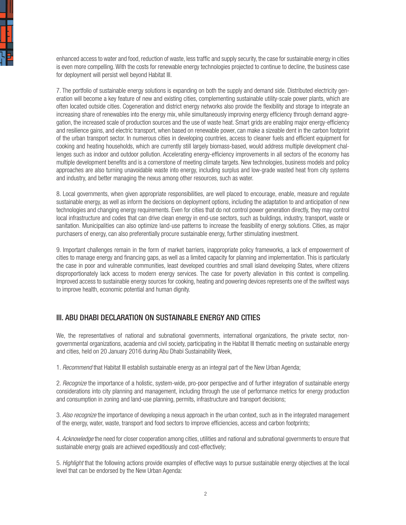

enhanced access to water and food, reduction of waste, less traffic and supply security, the case for sustainable energy in cities is even more compelling. With the costs for renewable energy technologies projected to continue to decline, the business case for deployment will persist well beyond Habitat III.

7. The portfolio of sustainable energy solutions is expanding on both the supply and demand side. Distributed electricity generation will become a key feature of new and existing cities, complementing sustainable utility-scale power plants, which are often located outside cities. Cogeneration and district energy networks also provide the flexibility and storage to integrate an increasing share of renewables into the energy mix, while simultaneously improving energy efficiency through demand aggregation, the increased scale of production sources and the use of waste heat. Smart grids are enabling major energy-efficiency and resilience gains, and electric transport, when based on renewable power, can make a sizeable dent in the carbon footprint of the urban transport sector. In numerous cities in developing countries, access to cleaner fuels and efficient equipment for cooking and heating households, which are currently still largely biomass-based, would address multiple development challenges such as indoor and outdoor pollution. Accelerating energy-efficiency improvements in all sectors of the economy has multiple development benefits and is a cornerstone of meeting climate targets. New technologies, business models and policy approaches are also turning unavoidable waste into energy, including surplus and low-grade wasted heat from city systems and industry, and better managing the nexus among other resources, such as water.

8. Local governments, when given appropriate responsibilities, are well placed to encourage, enable, measure and regulate sustainable energy, as well as inform the decisions on deployment options, including the adaptation to and anticipation of new technologies and changing energy requirements. Even for cities that do not control power generation directly, they may control local infrastructure and codes that can drive clean energy in end-use sectors, such as buildings, industry, transport, waste or sanitation. Municipalities can also optimize land-use patterns to increase the feasibility of energy solutions. Cities, as major purchasers of energy, can also preferentially procure sustainable energy, further stimulating investment.

9. Important challenges remain in the form of market barriers, inappropriate policy frameworks, a lack of empowerment of cities to manage energy and financing gaps, as well as a limited capacity for planning and implementation. This is particularly the case in poor and vulnerable communities, least developed countries and small island developing States, where citizens disproportionately lack access to modern energy services. The case for poverty alleviation in this context is compelling. Improved access to sustainable energy sources for cooking, heating and powering devices represents one of the swiftest ways to improve health, economic potential and human dignity.

#### III. ABU DHABI DECLARATION ON SUSTAINABLE ENERGY AND CITIES

We, the representatives of national and subnational governments, international organizations, the private sector, nongovernmental organizations, academia and civil society, participating in the Habitat III thematic meeting on sustainable energy and cities, held on 20 January 2016 during Abu Dhabi Sustainability Week,

1. *Recommend* that Habitat III establish sustainable energy as an integral part of the New Urban Agenda;

2. *Recognize* the importance of a holistic, system-wide, pro-poor perspective and of further integration of sustainable energy considerations into city planning and management, including through the use of performance metrics for energy production and consumption in zoning and land-use planning, permits, infrastructure and transport decisions;

3. *Also recognize* the importance of developing a nexus approach in the urban context, such as in the integrated management of the energy, water, waste, transport and food sectors to improve efficiencies, access and carbon footprints;

4. *Acknowledge* the need for closer cooperation among cities, utilities and national and subnational governments to ensure that sustainable energy goals are achieved expeditiously and cost-effectively;

5. *Highlight* that the following actions provide examples of effective ways to pursue sustainable energy objectives at the local level that can be endorsed by the New Urban Agenda: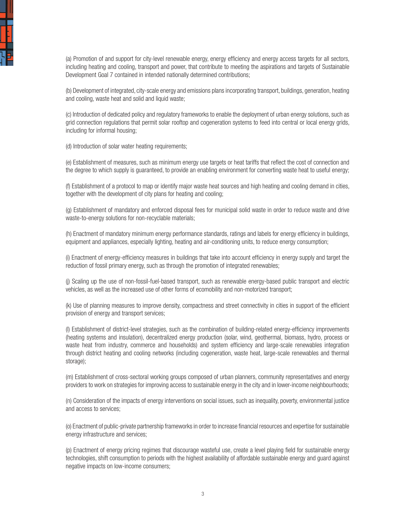

(a) Promotion of and support for city-level renewable energy, energy efficiency and energy access targets for all sectors, including heating and cooling, transport and power, that contribute to meeting the aspirations and targets of Sustainable Development Goal 7 contained in intended nationally determined contributions;

(b) Development of integrated, city-scale energy and emissions plans incorporating transport, buildings, generation, heating and cooling, waste heat and solid and liquid waste;

(c) Introduction of dedicated policy and regulatory frameworks to enable the deployment of urban energy solutions, such as grid connection regulations that permit solar rooftop and cogeneration systems to feed into central or local energy grids, including for informal housing;

(d) Introduction of solar water heating requirements;

(e) Establishment of measures, such as minimum energy use targets or heat tariffs that reflect the cost of connection and the degree to which supply is guaranteed, to provide an enabling environment for converting waste heat to useful energy;

(f) Establishment of a protocol to map or identify major waste heat sources and high heating and cooling demand in cities, together with the development of city plans for heating and cooling;

(g) Establishment of mandatory and enforced disposal fees for municipal solid waste in order to reduce waste and drive waste-to-energy solutions for non-recyclable materials;

(h) Enactment of mandatory minimum energy performance standards, ratings and labels for energy efficiency in buildings, equipment and appliances, especially lighting, heating and air-conditioning units, to reduce energy consumption;

(i) Enactment of energy-efficiency measures in buildings that take into account efficiency in energy supply and target the reduction of fossil primary energy, such as through the promotion of integrated renewables;

(j) Scaling up the use of non-fossil-fuel-based transport, such as renewable energy-based public transport and electric vehicles, as well as the increased use of other forms of ecomobility and non-motorized transport;

(k) Use of planning measures to improve density, compactness and street connectivity in cities in support of the efficient provision of energy and transport services;

(l) Establishment of district-level strategies, such as the combination of building-related energy-efficiency improvements (heating systems and insulation), decentralized energy production (solar, wind, geothermal, biomass, hydro, process or waste heat from industry, commerce and households) and system efficiency and large-scale renewables integration through district heating and cooling networks (including cogeneration, waste heat, large-scale renewables and thermal storage);

(m) Establishment of cross-sectoral working groups composed of urban planners, community representatives and energy providers to work on strategies for improving access to sustainable energy in the city and in lower-income neighbourhoods;

(n) Consideration of the impacts of energy interventions on social issues, such as inequality, poverty, environmental justice and access to services;

(o) Enactment of public-private partnership frameworks in order to increase financial resources and expertise for sustainable energy infrastructure and services;

(p) Enactment of energy pricing regimes that discourage wasteful use, create a level playing field for sustainable energy technologies, shift consumption to periods with the highest availability of affordable sustainable energy and guard against negative impacts on low-income consumers;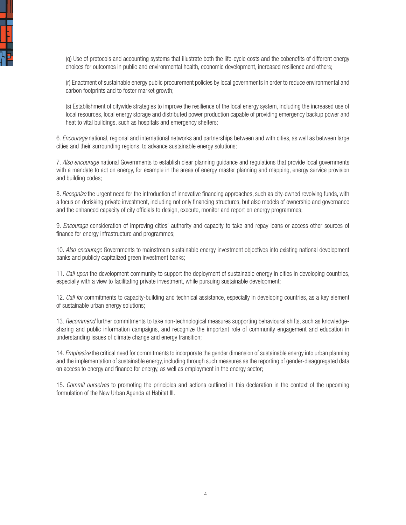

(q) Use of protocols and accounting systems that illustrate both the life-cycle costs and the cobenefits of different energy choices for outcomes in public and environmental health, economic development, increased resilience and others;

(r) Enactment of sustainable energy public procurement policies by local governments in order to reduce environmental and carbon footprints and to foster market growth;

(s) Establishment of citywide strategies to improve the resilience of the local energy system, including the increased use of local resources, local energy storage and distributed power production capable of providing emergency backup power and heat to vital buildings, such as hospitals and emergency shelters;

6. *Encourage* national, regional and international networks and partnerships between and with cities, as well as between large cities and their surrounding regions, to advance sustainable energy solutions;

7. *Also encourage* national Governments to establish clear planning guidance and regulations that provide local governments with a mandate to act on energy, for example in the areas of energy master planning and mapping, energy service provision and building codes;

8. *Recognize* the urgent need for the introduction of innovative financing approaches, such as city-owned revolving funds, with a focus on derisking private investment, including not only financing structures, but also models of ownership and governance and the enhanced capacity of city officials to design, execute, monitor and report on energy programmes;

9. *Encourage* consideration of improving cities' authority and capacity to take and repay loans or access other sources of finance for energy infrastructure and programmes;

10. *Also encourage* Governments to mainstream sustainable energy investment objectives into existing national development banks and publicly capitalized green investment banks;

11. *Call upon* the development community to support the deployment of sustainable energy in cities in developing countries, especially with a view to facilitating private investment, while pursuing sustainable development;

12. *Call for* commitments to capacity-building and technical assistance, especially in developing countries, as a key element of sustainable urban energy solutions;

13. *Recommend* further commitments to take non-technological measures supporting behavioural shifts, such as knowledgesharing and public information campaigns, and recognize the important role of community engagement and education in understanding issues of climate change and energy transition;

14. *Emphasize* the critical need for commitments to incorporate the gender dimension of sustainable energy into urban planning and the implementation of sustainable energy, including through such measures as the reporting of gender-disaggregated data on access to energy and finance for energy, as well as employment in the energy sector;

15. *Commit ourselves* to promoting the principles and actions outlined in this declaration in the context of the upcoming formulation of the New Urban Agenda at Habitat III.